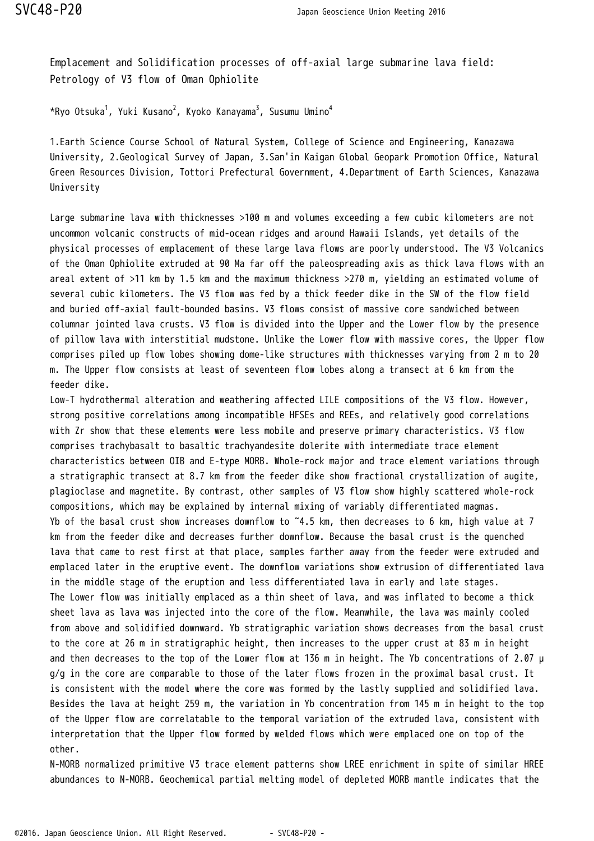Emplacement and Solidification processes of off-axial large submarine lava field: Petrology of V3 flow of Oman Ophiolite

 $\star$ Ryo Otsuka $^1$ , Yuki Kusano $^2$ , Kyoko Kanayama $^3$ , Susumu Umino $^4$ 

1.Earth Science Course School of Natural System, College of Science and Engineering, Kanazawa University, 2.Geological Survey of Japan, 3.San'in Kaigan Global Geopark Promotion Office, Natural Green Resources Division, Tottori Prefectural Government, 4.Department of Earth Sciences, Kanazawa University

Large submarine lava with thicknesses >100 m and volumes exceeding a few cubic kilometers are not uncommon volcanic constructs of mid-ocean ridges and around Hawaii Islands, yet details of the physical processes of emplacement of these large lava flows are poorly understood. The V3 Volcanics of the Oman Ophiolite extruded at 90 Ma far off the paleospreading axis as thick lava flows with an areal extent of >11 km by 1.5 km and the maximum thickness >270 m, yielding an estimated volume of several cubic kilometers. The V3 flow was fed by a thick feeder dike in the SW of the flow field and buried off-axial fault-bounded basins. V3 flows consist of massive core sandwiched between columnar jointed lava crusts. V3 flow is divided into the Upper and the Lower flow by the presence of pillow lava with interstitial mudstone. Unlike the Lower flow with massive cores, the Upper flow comprises piled up flow lobes showing dome-like structures with thicknesses varying from 2 m to 20 m. The Upper flow consists at least of seventeen flow lobes along a transect at 6 km from the feeder dike.

Low-T hydrothermal alteration and weathering affected LILE compositions of the V3 flow. However, strong positive correlations among incompatible HFSEs and REEs, and relatively good correlations with Zr show that these elements were less mobile and preserve primary characteristics. V3 flow comprises trachybasalt to basaltic trachyandesite dolerite with intermediate trace element characteristics between OIB and E-type MORB. Whole-rock major and trace element variations through a stratigraphic transect at 8.7 km from the feeder dike show fractional crystallization of augite, plagioclase and magnetite. By contrast, other samples of V3 flow show highly scattered whole-rock compositions, which may be explained by internal mixing of variably differentiated magmas. Yb of the basal crust show increases downflow to ˜4.5 km, then decreases to 6 km, high value at 7 km from the feeder dike and decreases further downflow. Because the basal crust is the quenched lava that came to rest first at that place, samples farther away from the feeder were extruded and emplaced later in the eruptive event. The downflow variations show extrusion of differentiated lava in the middle stage of the eruption and less differentiated lava in early and late stages. The Lower flow was initially emplaced as a thin sheet of lava, and was inflated to become a thick sheet lava as lava was injected into the core of the flow. Meanwhile, the lava was mainly cooled from above and solidified downward. Yb stratigraphic variation shows decreases from the basal crust to the core at 26 m in stratigraphic height, then increases to the upper crust at 83 m in height and then decreases to the top of the Lower flow at 136 m in height. The Yb concentrations of 2.07 μ g/g in the core are comparable to those of the later flows frozen in the proximal basal crust. It is consistent with the model where the core was formed by the lastly supplied and solidified lava. Besides the lava at height 259 m, the variation in Yb concentration from 145 m in height to the top of the Upper flow are correlatable to the temporal variation of the extruded lava, consistent with interpretation that the Upper flow formed by welded flows which were emplaced one on top of the other.

N-MORB normalized primitive V3 trace element patterns show LREE enrichment in spite of similar HREE abundances to N-MORB. Geochemical partial melting model of depleted MORB mantle indicates that the